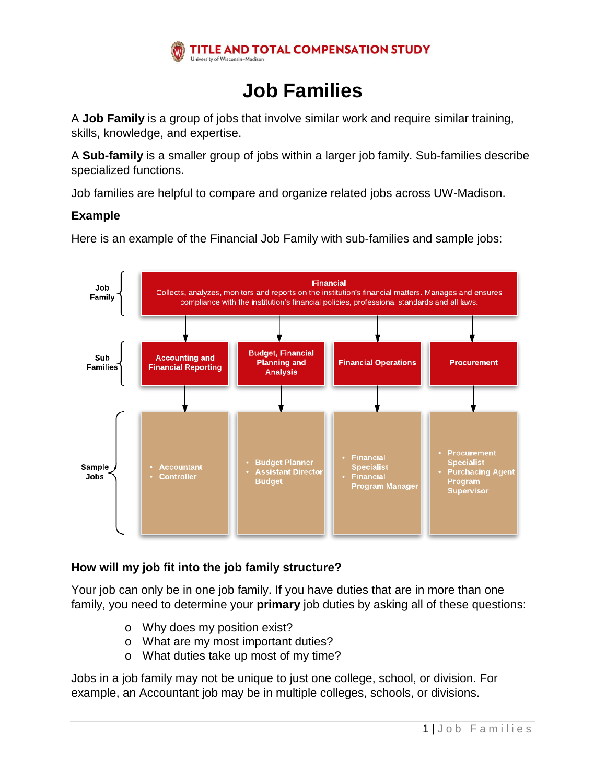

# **Job Families**

A **Job Family** is a group of jobs that involve similar work and require similar training, skills, knowledge, and expertise.

A **Sub-family** is a smaller group of jobs within a larger job family. Sub-families describe specialized functions.

Job families are helpful to compare and organize related jobs across UW-Madison.

#### **Example**



Here is an example of the Financial Job Family with sub-families and sample jobs:

## **How will my job fit into the job family structure?**

Your job can only be in one job family. If you have duties that are in more than one family, you need to determine your **primary** job duties by asking all of these questions:

- o Why does my position exist?
- o What are my most important duties?
- o What duties take up most of my time?

Jobs in a job family may not be unique to just one college, school, or division. For example, an Accountant job may be in multiple colleges, schools, or divisions.